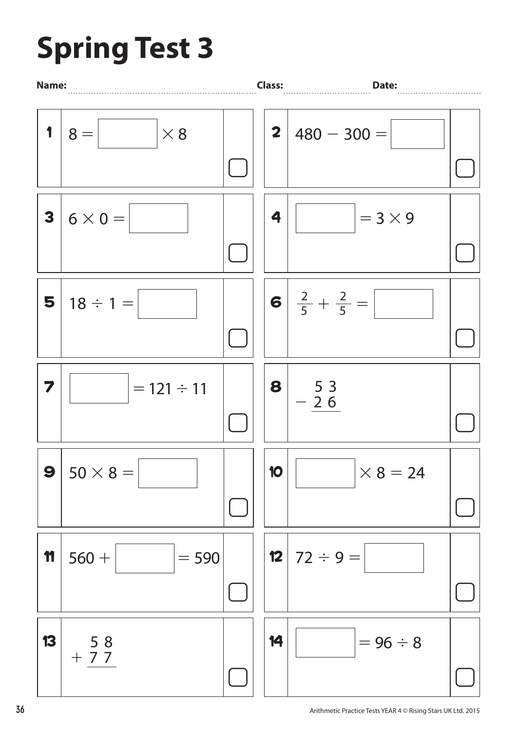## **Spring Test 3**